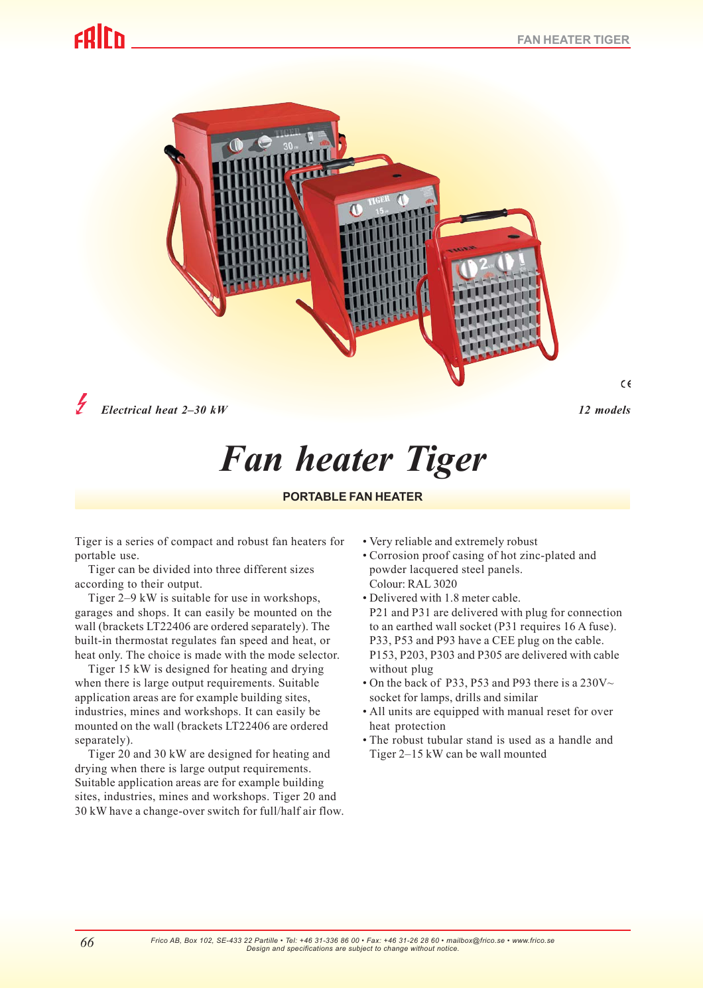# colrn



*Electrical heat 2–30 kW 12 models*

 $\epsilon$ 

# *Fan heater Tiger*

# **PORTABLE FAN HEATER**

Tiger is a series of compact and robust fan heaters for portable use.

Tiger can be divided into three different sizes according to their output.

Tiger 2–9 kW is suitable for use in workshops, garages and shops. It can easily be mounted on the wall (brackets LT22406 are ordered separately). The built-in thermostat regulates fan speed and heat, or heat only. The choice is made with the mode selector.

Tiger 15 kW is designed for heating and drying when there is large output requirements. Suitable application areas are for example building sites, industries, mines and workshops. It can easily be mounted on the wall (brackets LT22406 are ordered separately).

Tiger 20 and 30 kW are designed for heating and drying when there is large output requirements. Suitable application areas are for example building sites, industries, mines and workshops. Tiger 20 and 30 kW have a change-over switch for full/half air flow.

- Very reliable and extremely robust
- Corrosion proof casing of hot zinc-plated and powder lacquered steel panels. Colour: RAL 3020
- Delivered with 1.8 meter cable. P21 and P31 are delivered with plug for connection to an earthed wall socket (P31 requires 16 A fuse). P33, P53 and P93 have a CEE plug on the cable. P153, P203, P303 and P305 are delivered with cable without plug
- On the back of P33, P53 and P93 there is a  $230V \sim$ socket for lamps, drills and similar
- All units are equipped with manual reset for over heat protection
- The robust tubular stand is used as a handle and Tiger 2–15 kW can be wall mounted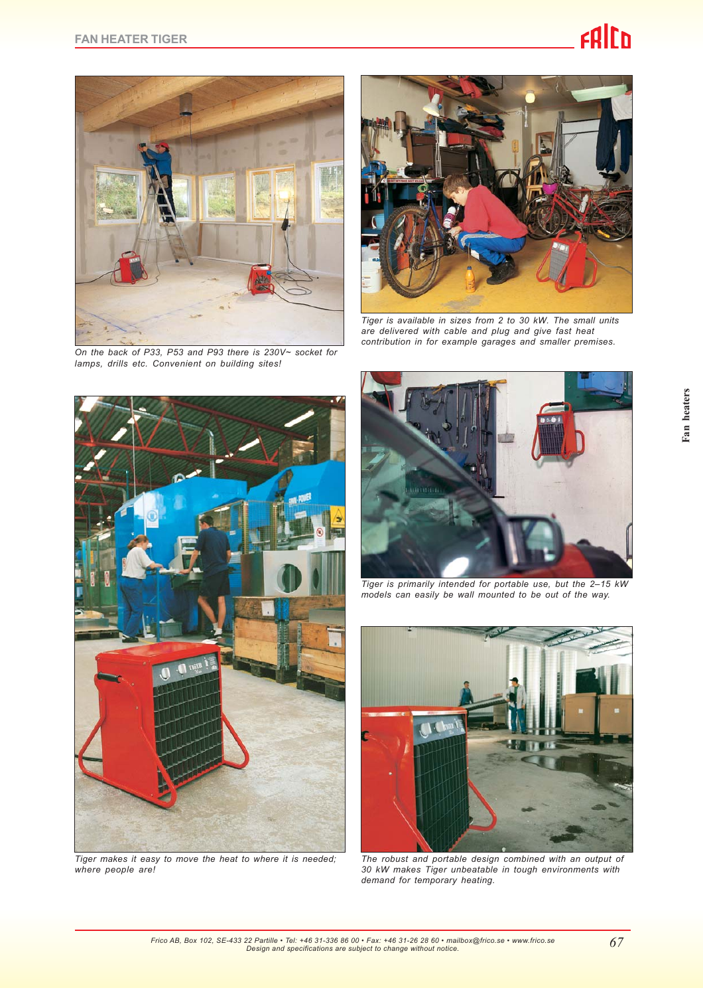# **ERICO**



*On the back of P33, P53 and P93 there is 230V~ socket for lamps, drills etc. Convenient on building sites!*



*Tiger is available in sizes from 2 to 30 kW. The small units are delivered with cable and plug and give fast heat contribution in for example garages and smaller premises.*



*Tiger makes it easy to move the heat to where it is needed; where people are!*



*Tiger is primarily intended for portable use, but the 2–15 kW models can easily be wall mounted to be out of the way.*



*The robust and portable design combined with an output of 30 kW makes Tiger unbeatable in tough environments with demand for temporary heating.*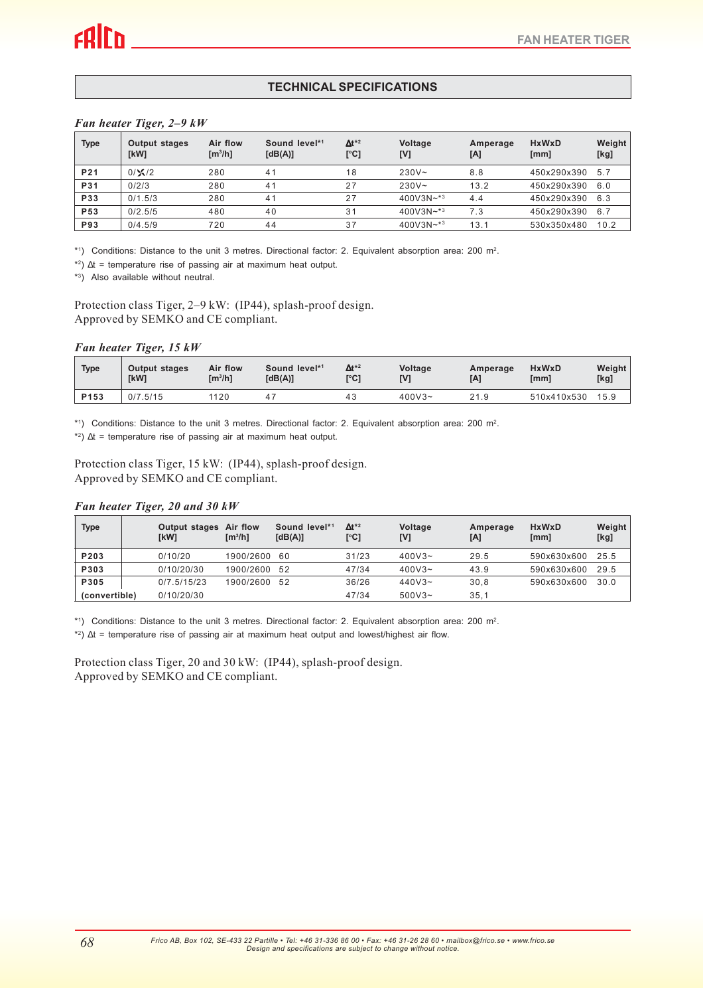# **TECHNICAL SPECIFICATIONS**

#### *Fan heater Tiger, 2–9 kW*

| <b>Type</b>     | <b>Output stages</b><br>[kW] | Air flow<br>[m <sup>3</sup> /h] | Sound level*1<br>[dB(A)] | $\Delta t^{*2}$<br>[°C] | Voltage<br>[V] | Amperage<br>[A] | <b>HxWxD</b><br>[mm] | Weight<br>[kg] |
|-----------------|------------------------------|---------------------------------|--------------------------|-------------------------|----------------|-----------------|----------------------|----------------|
| P <sub>21</sub> | $0/\times 12$                | 280                             | 41                       | 18                      | $230V -$       | 8.8             | 450x290x390          | 5.7            |
| P31             | 0/2/3                        | 280                             | 41                       | 27                      | $230V -$       | 13.2            | 450x290x390          | 6.0            |
| P33             | 0/1.5/3                      | 280                             | 41                       | 27                      | $400V3N+3$     | 4.4             | 450x290x390          | 6.3            |
| P <sub>53</sub> | 0/2.5/5                      | 480                             | 40                       | 31                      | $400V3N+3$     | 7.3             | 450x290x390          | 6.7            |
| <b>P93</b>      | 0/4.5/9                      | 720                             | 44                       | 37                      | $400V3N+3$     | 13.1            | 530x350x480          | 10.2           |

\*1) Conditions: Distance to the unit 3 metres. Directional factor: 2. Equivalent absorption area: 200 m2.

\*<sup>2</sup>)  $\Delta t$  = temperature rise of passing air at maximum heat output.

\*3) Also available without neutral.

Protection class Tiger, 2–9 kW: (IP44), splash-proof design. Approved by SEMKO and CE compliant.

#### *Fan heater Tiger, 15 kW*

| <b>Type</b>      | Output stages | Air flow | Sound level*1 | $\Delta t^{*2}$ | Voltage   | Amperage | <b>HxWxD</b> | Weight |
|------------------|---------------|----------|---------------|-----------------|-----------|----------|--------------|--------|
|                  | [kW]          | [m3/h]   | [dB(A)]       | r°C1            | IV1       | [A]      | [mm]         | [kg]   |
| P <sub>153</sub> | 0/7.5/15      | 1120     |               | 43              | $400V3 -$ | 21.9     | 510x410x530  | 15.9   |

\*1 ) Conditions: Distance to the unit 3 metres. Directional factor: 2. Equivalent absorption area: 200 m2.

\*2 ) ∆t = temperature rise of passing air at maximum heat output.

Protection class Tiger, 15 kW: (IP44), splash-proof design. Approved by SEMKO and CE compliant.

### *Fan heater Tiger, 20 and 30 kW*

| <b>Type</b>   |  | Output stages Air flow<br>[kW] | $\text{Im}^3/\text{h}$ | Sound level*1<br>[dB(A)] | $\mathbf{\Delta t}^{*2}$<br>[°C] | Voltage<br>[V] | Amperage<br>[A] | <b>HxWxD</b><br>$\lceil$ mm $\rceil$ | Weight<br>[kg] |
|---------------|--|--------------------------------|------------------------|--------------------------|----------------------------------|----------------|-----------------|--------------------------------------|----------------|
| P203          |  | 0/10/20                        | 1900/2600 60           |                          | 31/23                            | $400V3 -$      | 29.5            | 590x630x600                          | 25.5           |
| P303          |  | 0/10/20/30                     | 1900/2600 52           |                          | 47/34                            | $400V3 -$      | 43.9            | 590x630x600                          | 29.5           |
| P305          |  | 0/7.5/15/23                    | 1900/2600              | 52                       | 36/26                            | $440V3 -$      | 30.8            | 590x630x600                          | 30.0           |
| (convertible) |  | 0/10/20/30                     |                        |                          | 47/34                            | $500V3 -$      | 35,1            |                                      |                |

 $*$ <sup>1</sup>) Conditions: Distance to the unit 3 metres. Directional factor: 2. Equivalent absorption area: 200 m<sup>2</sup>.

\*2)  $\Delta t$  = temperature rise of passing air at maximum heat output and lowest/highest air flow.

Protection class Tiger, 20 and 30 kW: (IP44), splash-proof design. Approved by SEMKO and CE compliant.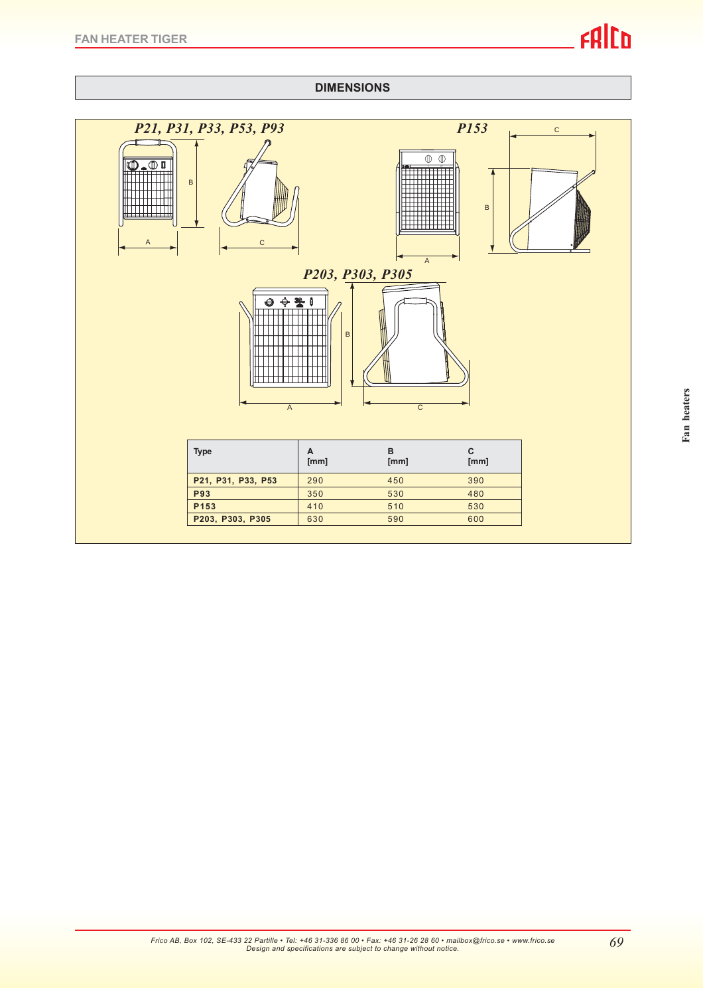

*69*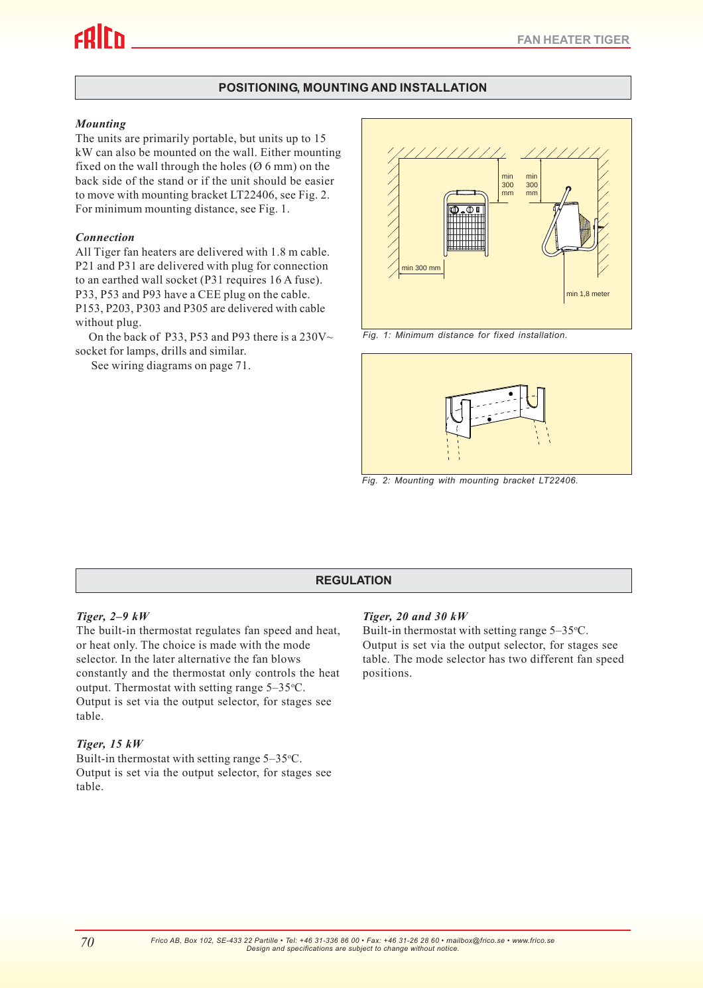# **POSITIONING, MOUNTING AND INSTALLATION**

### *Mounting*

The units are primarily portable, but units up to 15 kW can also be mounted on the wall. Either mounting fixed on the wall through the holes  $(0, 6, \text{mm})$  on the back side of the stand or if the unit should be easier to move with mounting bracket LT22406, see Fig. 2. For minimum mounting distance, see Fig. 1.

### *Connection*

All Tiger fan heaters are delivered with 1.8 m cable. P21 and P31 are delivered with plug for connection to an earthed wall socket (P31 requires 16 A fuse). P33, P53 and P93 have a CEE plug on the cable. P153, P203, P303 and P305 are delivered with cable without plug.

On the back of P33, P53 and P93 there is a 230V $\sim$ socket for lamps, drills and similar.

See wiring diagrams on page 71.



*Fig. 1: Minimum distance for fixed installation.*



*Fig. 2: Mounting with mounting bracket LT22406.*

# **REGULATION**

# *Tiger, 2–9 kW*

The built-in thermostat regulates fan speed and heat, or heat only. The choice is made with the mode selector. In the later alternative the fan blows constantly and the thermostat only controls the heat output. Thermostat with setting range  $5-35$ °C. Output is set via the output selector, for stages see table.

# *Tiger, 15 kW*

Built-in thermostat with setting range  $5-35$ °C. Output is set via the output selector, for stages see table.

# *Tiger, 20 and 30 kW*

Built-in thermostat with setting range  $5-35$ °C. Output is set via the output selector, for stages see table. The mode selector has two different fan speed positions.